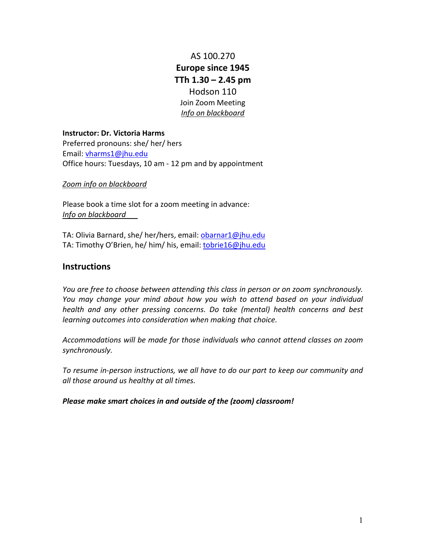AS 100.270 **Europe since 1945 TTh 1.30 – 2.45 pm** Hodson 110 Join Zoom Meeting *Info on blackboard*

**Instructor: Dr. Victoria Harms** Preferred pronouns: she/ her/ hers Email: [vharms1@jhu.edu](mailto:vharms1@jhu.edu) Office hours: Tuesdays, 10 am - 12 pm and by appointment

*Zoom info on blackboard*

Please book a time slot for a zoom meeting in advance: *Info on blackboard*

TA: Olivia Barnard, she/ her/hers, email: [obarnar1@jhu.edu](mailto:obarnar1@jhu.edu) TA: Timothy O'Brien, he/ him/ his, email: [tobrie16@jhu.edu](mailto:tobrie16@jhu.edu)

# **Instructions**

*You are free to choose between attending this class in person or on zoom synchronously. You may change your mind about how you wish to attend based on your individual health and any other pressing concerns. Do take (mental) health concerns and best learning outcomes into consideration when making that choice.* 

*Accommodations will be made for those individuals who cannot attend classes on zoom synchronously.* 

*To resume in-person instructions, we all have to do our part to keep our community and all those around us healthy at all times.* 

*Please make smart choices in and outside of the (zoom) classroom!*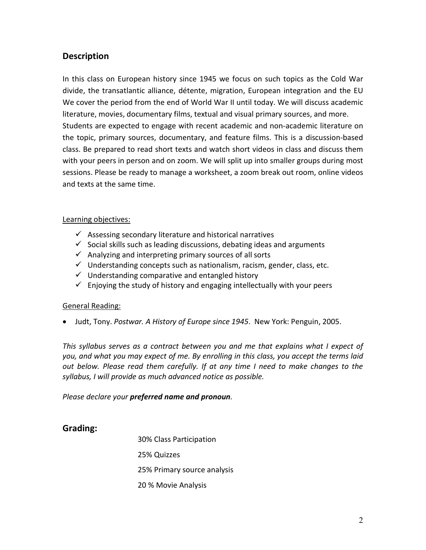# **Description**

In this class on European history since 1945 we focus on such topics as the Cold War divide, the transatlantic alliance, détente, migration, European integration and the EU We cover the period from the end of World War II until today. We will discuss academic literature, movies, documentary films, textual and visual primary sources, and more. Students are expected to engage with recent academic and non-academic literature on the topic, primary sources, documentary, and feature films. This is a discussion-based class. Be prepared to read short texts and watch short videos in class and discuss them with your peers in person and on zoom. We will split up into smaller groups during most sessions. Please be ready to manage a worksheet, a zoom break out room, online videos and texts at the same time.

# Learning objectives:

- $\checkmark$  Assessing secondary literature and historical narratives
- $\checkmark$  Social skills such as leading discussions, debating ideas and arguments
- $\checkmark$  Analyzing and interpreting primary sources of all sorts
- $\checkmark$  Understanding concepts such as nationalism, racism, gender, class, etc.
- $\checkmark$  Understanding comparative and entangled history
- $\checkmark$  Enjoying the study of history and engaging intellectually with your peers

# General Reading:

• Judt, Tony. *Postwar. A History of Europe since 1945*. New York: Penguin, 2005.

*This syllabus serves as a contract between you and me that explains what I expect of you, and what you may expect of me. By enrolling in this class, you accept the terms laid out below. Please read them carefully. If at any time I need to make changes to the syllabus, I will provide as much advanced notice as possible.*

*Please declare your preferred name and pronoun.*

# **Grading:**

30% Class Participation 25% Quizzes 25% Primary source analysis 20 % Movie Analysis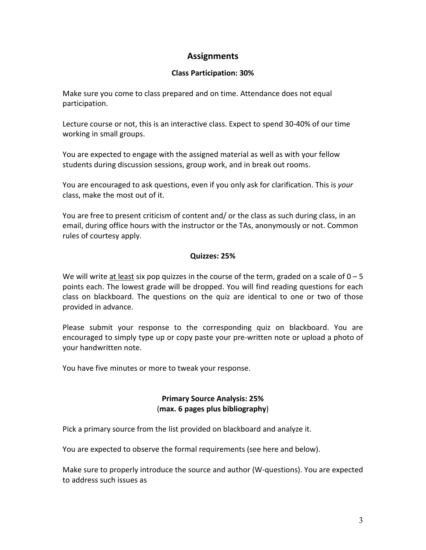# **Assignments**

# **Class Participation: 30%**

Make sure you come to class prepared and on time. Attendance does not equal participation.

Lecture course or not, this is an interactive class. Expect to spend 30-40% of our time working in small groups.

You are expected to engage with the assigned material as well as with your fellow students during discussion sessions, group work, and in break out rooms.

You are encouraged to ask questions, even if you only ask for clarification. This is *your* class, make the most out of it.

You are free to present criticism of content and/ or the class as such during class, in an email, during office hours with the instructor or the TAs, anonymously or not. Common rules of courtesy apply.

# **Quizzes: 25%**

We will write at least six pop quizzes in the course of the term, graded on a scale of  $0 - 5$ points each. The lowest grade will be dropped. You will find reading questions for each class on blackboard. The questions on the quiz are identical to one or two of those provided in advance.

Please submit your response to the corresponding quiz on blackboard. You are encouraged to simply type up or copy paste your pre-written note or upload a photo of your handwritten note.

You have five minutes or more to tweak your response.

# **Primary Source Analysis: 25%** (**max. 6 pages plus bibliography**)

Pick a primary source from the list provided on blackboard and analyze it.

You are expected to observe the formal requirements (see here and below).

Make sure to properly introduce the source and author (W-questions). You are expected to address such issues as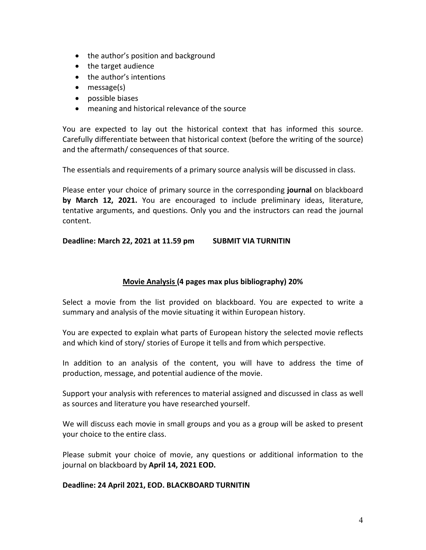- the author's position and background
- the target audience
- the author's intentions
- message(s)
- possible biases
- meaning and historical relevance of the source

You are expected to lay out the historical context that has informed this source. Carefully differentiate between that historical context (before the writing of the source) and the aftermath/ consequences of that source.

The essentials and requirements of a primary source analysis will be discussed in class.

Please enter your choice of primary source in the corresponding **journal** on blackboard **by March 12, 2021.** You are encouraged to include preliminary ideas, literature, tentative arguments, and questions. Only you and the instructors can read the journal content.

**Deadline: March 22, 2021 at 11.59 pm SUBMIT VIA TURNITIN**

# **Movie Analysis (4 pages max plus bibliography) 20%**

Select a movie from the list provided on blackboard. You are expected to write a summary and analysis of the movie situating it within European history.

You are expected to explain what parts of European history the selected movie reflects and which kind of story/ stories of Europe it tells and from which perspective.

In addition to an analysis of the content, you will have to address the time of production, message, and potential audience of the movie.

Support your analysis with references to material assigned and discussed in class as well as sources and literature you have researched yourself.

We will discuss each movie in small groups and you as a group will be asked to present your choice to the entire class.

Please submit your choice of movie, any questions or additional information to the journal on blackboard by **April 14, 2021 EOD.**

# **Deadline: 24 April 2021, EOD. BLACKBOARD TURNITIN**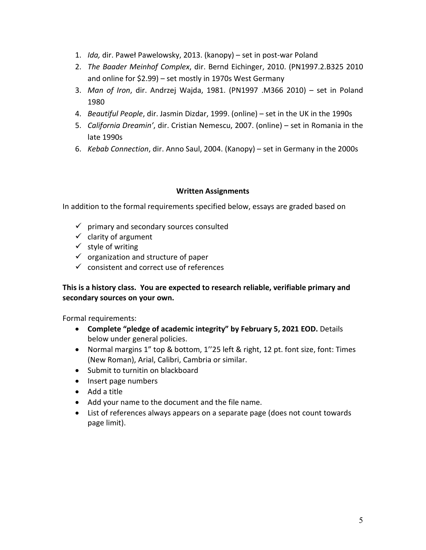- 1. *Ida,* dir. Paweł Pawelowsky, 2013. (kanopy) set in post-war Poland
- 2. *The Baader Meinhof Complex*, dir. Bernd Eichinger, 2010. (PN1997.2.B325 2010 and online for \$2.99) – set mostly in 1970s West Germany
- 3. *Man of Iron*, dir. Andrzej Wajda, 1981. (PN1997 .M366 2010) set in Poland 1980
- 4. *Beautiful People*, dir. Jasmin Dizdar, 1999. (online) set in the UK in the 1990s
- 5. *California Dreamin'*, dir. Cristian Nemescu, 2007. (online) set in Romania in the late 1990s
- 6. *Kebab Connection*, dir. Anno Saul, 2004. (Kanopy) set in Germany in the 2000s

# **Written Assignments**

In addition to the formal requirements specified below, essays are graded based on

- $\checkmark$  primary and secondary sources consulted
- $\checkmark$  clarity of argument
- $\checkmark$  style of writing
- $\checkmark$  organization and structure of paper
- $\checkmark$  consistent and correct use of references

# **This is a history class. You are expected to research reliable, verifiable primary and secondary sources on your own.**

Formal requirements:

- **Complete "pledge of academic integrity" by February 5, 2021 EOD.** Details below under general policies.
- Normal margins 1" top & bottom, 1''25 left & right, 12 pt. font size, font: Times (New Roman), Arial, Calibri, Cambria or similar.
- Submit to turnitin on blackboard
- Insert page numbers
- Add a title
- Add your name to the document and the file name.
- List of references always appears on a separate page (does not count towards page limit).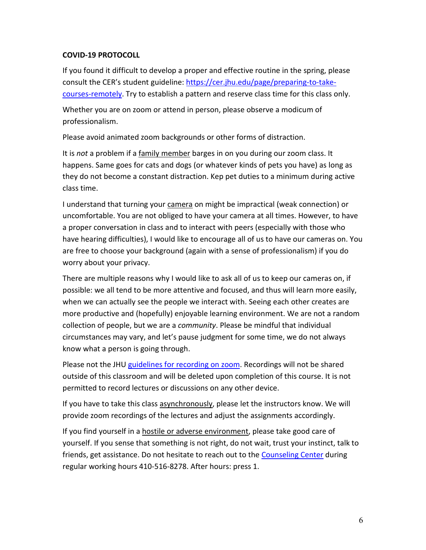# **COVID-19 PROTOCOLL**

If you found it difficult to develop a proper and effective routine in the spring, please consult the CER's student guideline: [https://cer.jhu.edu/page/preparing-to-take](https://cer.jhu.edu/page/preparing-to-take-courses-remotely)[courses-remotely.](https://cer.jhu.edu/page/preparing-to-take-courses-remotely) Try to establish a pattern and reserve class time for this class only.

Whether you are on zoom or attend in person, please observe a modicum of professionalism.

Please avoid animated zoom backgrounds or other forms of distraction.

It is *not* a problem if a family member barges in on you during our zoom class. It happens. Same goes for cats and dogs (or whatever kinds of pets you have) as long as they do not become a constant distraction. Kep pet duties to a minimum during active class time.

I understand that turning your camera on might be impractical (weak connection) or uncomfortable. You are not obliged to have your camera at all times. However, to have a proper conversation in class and to interact with peers (especially with those who have hearing difficulties), I would like to encourage all of us to have our cameras on. You are free to choose your background (again with a sense of professionalism) if you do worry about your privacy.

There are multiple reasons why I would like to ask all of us to keep our cameras on, if possible: we all tend to be more attentive and focused, and thus will learn more easily, when we can actually see the people we interact with. Seeing each other creates are more productive and (hopefully) enjoyable learning environment. We are not a random collection of people, but we are a *community*. Please be mindful that individual circumstances may vary, and let's pause judgment for some time, we do not always know what a person is going through.

Please not the JHU [guidelines for recording on zoom.](https://keepteaching.jhu.edu/wp-content/uploads/2020/08/Zoom-Guidelines-08182020_KeepTeaching.pdf) Recordings will not be shared outside of this classroom and will be deleted upon completion of this course. It is not permitted to record lectures or discussions on any other device.

If you have to take this class asynchronously, please let the instructors know. We will provide zoom recordings of the lectures and adjust the assignments accordingly.

If you find yourself in a hostile or adverse environment, please take good care of yourself. If you sense that something is not right, do not wait, trust your instinct, talk to friends, get assistance. Do not hesitate to reach out to the [Counseling Center](https://studentaffairs.jhu.edu/counselingcenter/) during regular working hours 410-516-8278. After hours: press 1.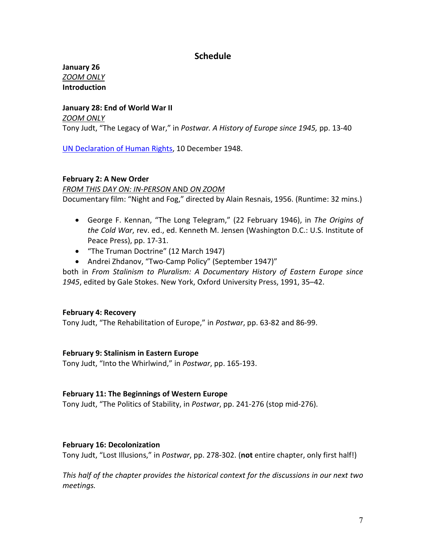# **Schedule**

**January 26** *ZOOM ONLY* **Introduction**

#### **January 28: End of World War II**

*ZOOM ONLY*

Tony Judt, "The Legacy of War," in *Postwar. A History of Europe since 1945,* pp. 13-40

[UN Declaration of](https://www.un.org/en/universal-declaration-human-rights/) Human Rights, 10 December 1948.

#### **February 2: A New Order**

*FROM THIS DAY ON: IN-PERSON* AND *ON ZOOM* Documentary film: "Night and Fog," directed by Alain Resnais, 1956. (Runtime: 32 mins.)

- George F. Kennan, "The Long Telegram," (22 February 1946), in *The Origins of the Cold War*, rev. ed., ed. Kenneth M. Jensen (Washington D.C.: U.S. Institute of Peace Press), pp. 17-31.
- "The Truman Doctrine" (12 March 1947)
- Andrei Zhdanov, "Two-Camp Policy" (September 1947)"

both in *From Stalinism to Pluralism: A Documentary History of Eastern Europe since 1945*, edited by Gale Stokes. New York, Oxford University Press, 1991, 35–42.

# **February 4: Recovery**

Tony Judt, "The Rehabilitation of Europe," in *Postwar*, pp. 63-82 and 86-99.

# **February 9: Stalinism in Eastern Europe**

Tony Judt, "Into the Whirlwind," in *Postwar*, pp. 165-193.

#### **February 11: The Beginnings of Western Europe**

Tony Judt, "The Politics of Stability, in *Postwar*, pp. 241-276 (stop mid-276).

# **February 16: Decolonization**

Tony Judt, "Lost Illusions," in *Postwar*, pp. 278-302. (**not** entire chapter, only first half!)

*This half of the chapter provides the historical context for the discussions in our next two meetings.*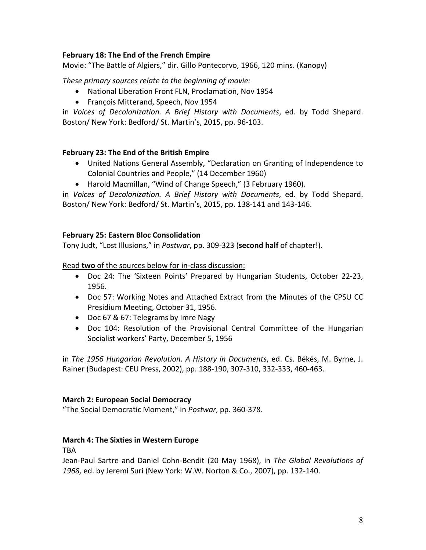# **February 18: The End of the French Empire**

Movie: "The Battle of Algiers," dir. Gillo Pontecorvo, 1966, 120 mins. (Kanopy)

*These primary sources relate to the beginning of movie:*

- National Liberation Front FLN, Proclamation, Nov 1954
- François Mitterand, Speech, Nov 1954

in *Voices of Decolonization. A Brief History with Documents*, ed. by Todd Shepard. Boston/ New York: Bedford/ St. Martin's, 2015, pp. 96-103.

# **February 23: The End of the British Empire**

- United Nations General Assembly, "Declaration on Granting of Independence to Colonial Countries and People," (14 December 1960)
- Harold Macmillan, "Wind of Change Speech," (3 February 1960).

in *Voices of Decolonization. A Brief History with Documents*, ed. by Todd Shepard. Boston/ New York: Bedford/ St. Martin's, 2015, pp. 138-141 and 143-146.

#### **February 25: Eastern Bloc Consolidation**

Tony Judt, "Lost Illusions," in *Postwar*, pp. 309-323 (**second half** of chapter!).

Read **two** of the sources below for in-class discussion:

- Doc 24: The 'Sixteen Points' Prepared by Hungarian Students, October 22-23, 1956.
- Doc 57: Working Notes and Attached Extract from the Minutes of the CPSU CC Presidium Meeting, October 31, 1956.
- Doc 67 & 67: Telegrams by Imre Nagy
- Doc 104: Resolution of the Provisional Central Committee of the Hungarian Socialist workers' Party, December 5, 1956

in *The 1956 Hungarian Revolution. A History in Documents*, ed. Cs. Békés, M. Byrne, J. Rainer (Budapest: CEU Press, 2002), pp. 188-190, 307-310, 332-333, 460-463.

# **March 2: European Social Democracy**

"The Social Democratic Moment," in *Postwar*, pp. 360-378.

# **March 4: The Sixties in Western Europe**

TBA

Jean-Paul Sartre and Daniel Cohn-Bendit (20 May 1968), in *The Global Revolutions of 1968,* ed. by Jeremi Suri (New York: W.W. Norton & Co., 2007), pp. 132-140.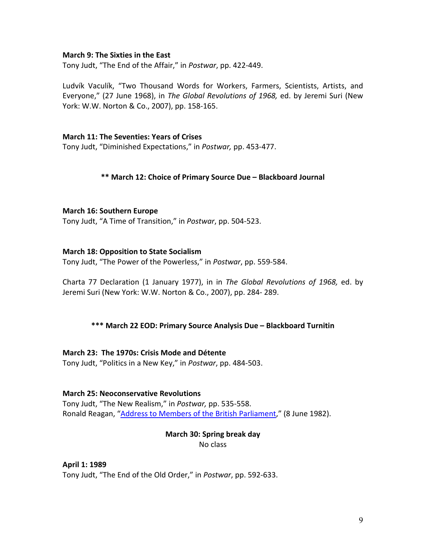#### **March 9: The Sixties in the East**

Tony Judt, "The End of the Affair," in *Postwar*, pp. 422-449.

Ludvík Vaculík, "Two Thousand Words for Workers, Farmers, Scientists, Artists, and Everyone," (27 June 1968), in *The Global Revolutions of 1968,* ed. by Jeremi Suri (New York: W.W. Norton & Co., 2007), pp. 158-165.

#### **March 11: The Seventies: Years of Crises**

Tony Judt, "Diminished Expectations," in *Postwar,* pp. 453-477.

#### **\*\* March 12: Choice of Primary Source Due – Blackboard Journal**

#### **March 16: Southern Europe**

Tony Judt, "A Time of Transition," in *Postwar*, pp. 504-523.

#### **March 18: Opposition to State Socialism**

Tony Judt, "The Power of the Powerless," in *Postwar*, pp. 559-584.

Charta 77 Declaration (1 January 1977), in in *The Global Revolutions of 1968,* ed. by Jeremi Suri (New York: W.W. Norton & Co., 2007), pp. 284- 289.

# **\*\*\* March 22 EOD: Primary Source Analysis Due – Blackboard Turnitin**

# **March 23: The 1970s: Crisis Mode and Détente**

Tony Judt, "Politics in a New Key," in *Postwar*, pp. 484-503.

#### **March 25: Neoconservative Revolutions**

Tony Judt, "The New Realism," in *Postwar,* pp. 535-558. Ronald Reagan, ["Address to Members of the British Parliament,](https://www.reaganlibrary.gov/research/speeches/60882a)" (8 June 1982).

# **March 30: Spring break day**

No class

# **April 1: 1989**

Tony Judt, "The End of the Old Order," in *Postwar*, pp. 592-633.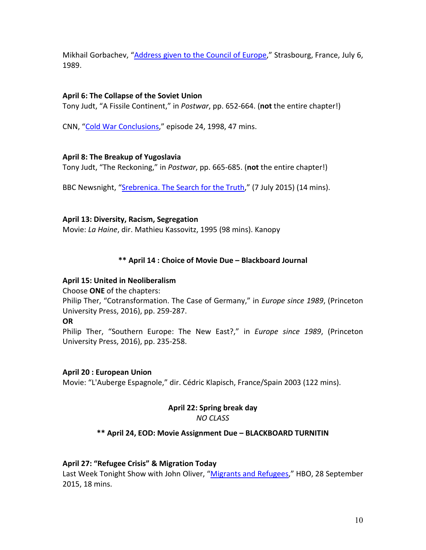Mikhail Gorbachev, ["Address given to the Council of Europe,](http://chnm.gmu.edu/1989/archive/files/gorbachev-speech-7-6-89_e3ccb87237.pdf)" Strasbourg, France, July 6, 1989.

# **April 6: The Collapse of the Soviet Union**

Tony Judt, "A Fissile Continent," in *Postwar*, pp. 652-664. (**not** the entire chapter!)

CNN, ["Cold War Conclusions,](https://www.youtube.com/watch?v=xidgcMW-LpA&list=PL3H6z037pboGWTxs3xGP7HRGrQ5dOQdGc&index=24&frags=pl%2Cwn)" episode 24, 1998, 47 mins.

# **April 8: The Breakup of Yugoslavia**

Tony Judt, "The Reckoning," in *Postwar*, pp. 665-685. (**not** the entire chapter!)

BBC Newsnight, ["Srebrenica. The Search for the](https://www.youtube.com/watch?v=tzBgmUpILIg) Truth," (7 July 2015) (14 mins).

# **April 13: Diversity, Racism, Segregation**

Movie: *La Haine*, dir. Mathieu Kassovitz, 1995 (98 mins). Kanopy

# **\*\* April 14 : Choice of Movie Due – Blackboard Journal**

# **April 15: United in Neoliberalism**

Choose **ONE** of the chapters:

Philip Ther, "Cotransformation. The Case of Germany," in *Europe since 1989*, (Princeton University Press, 2016), pp. 259-287.

# **OR**

Philip Ther, "Southern Europe: The New East?," in *Europe since 1989*, (Princeton University Press, 2016), pp. 235-258.

# **April 20 : European Union**

Movie: "L'Auberge Espagnole," dir. Cédric Klapisch, France/Spain 2003 (122 mins).

# **April 22: Spring break day**

*NO CLASS*

# **\*\* April 24, EOD: Movie Assignment Due – BLACKBOARD TURNITIN**

# **April 27: "Refugee Crisis" & Migration Today**

Last Week Tonight Show with John Oliver, ["Migrants and Refugees,](https://www.youtube.com/watch?v=umqvYhb3wf4)" HBO, 28 September 2015, 18 mins.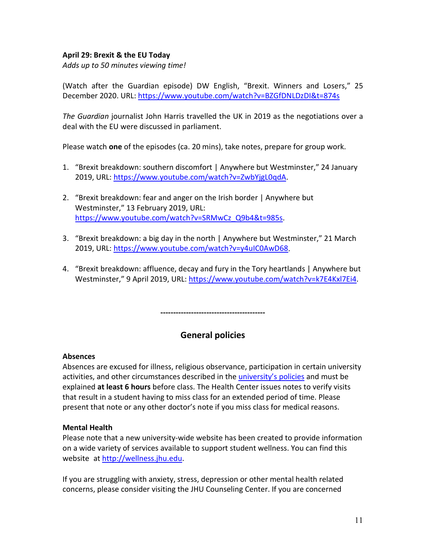# **April 29: Brexit & the EU Today**

*Adds up to 50 minutes viewing time!*

(Watch after the Guardian episode) DW English, "Brexit. Winners and Losers," 25 December 2020. URL:<https://www.youtube.com/watch?v=BZGfDNLDzDI&t=874s>

*The Guardian* journalist John Harris travelled the UK in 2019 as the negotiations over a deal with the EU were discussed in parliament.

Please watch **one** of the episodes (ca. 20 mins), take notes, prepare for group work.

- 1. "Brexit breakdown: southern discomfort | Anywhere but Westminster," 24 January 2019, URL: [https://www.youtube.com/watch?v=ZwbYjgL0qdA.](https://www.youtube.com/watch?v=ZwbYjgL0qdA)
- 2. "Brexit breakdown: fear and anger on the Irish border | Anywhere but Westminster," 13 February 2019, URL: [https://www.youtube.com/watch?v=SRMwCz\\_Q9b4&t=985s.](https://www.youtube.com/watch?v=SRMwCz_Q9b4&t=985s)
- 3. "Brexit breakdown: a big day in the north | Anywhere but Westminster," 21 March 2019, URL: [https://www.youtube.com/watch?v=y4uIC0AwD68.](https://www.youtube.com/watch?v=y4uIC0AwD68)
- 4. "Brexit breakdown: affluence, decay and fury in the Tory heartlands | Anywhere but Westminster," 9 April 2019, URL: [https://www.youtube.com/watch?v=k7E4Kxl7Ei4.](https://www.youtube.com/watch?v=k7E4Kxl7Ei4)

**-----------------------------------------**

# **General policies**

#### **Absences**

Absences are excused for illness, religious observance, participation in certain university activities, and other circumstances described in th[e university's policies](https://studentaffairs.jhu.edu/student-life/student-outreach-support/absences-from-class/) and must be explained **at least 6 hours** before class. The Health Center issues notes to verify visits that result in a student having to miss class for an extended period of time. Please present that note or any other doctor's note if you miss class for medical reasons.

# **Mental Health**

Please note that a new university-wide website has been created to provide information on a wide variety of services available to support student wellness. You can find this website at [http://wellness.jhu.edu.](http://wellness.jhu.edu/)

If you are struggling with anxiety, stress, depression or other mental health related concerns, please consider visiting the JHU Counseling Center. If you are concerned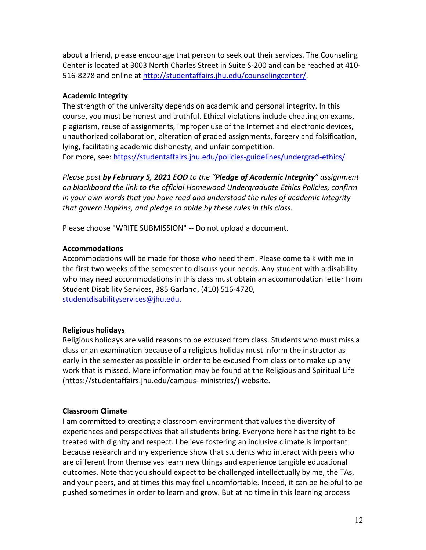about a friend, please encourage that person to seek out their services. The Counseling Center is located at 3003 North Charles Street in Suite S-200 and can be reached at 410- 516-8278 and online at [http://studentaffairs.jhu.edu/counselingcenter/.](http://studentaffairs.jhu.edu/counselingcenter/)

# **Academic Integrity**

The strength of the university depends on academic and personal integrity. In this course, you must be honest and truthful. Ethical violations include cheating on exams, plagiarism, reuse of assignments, improper use of the Internet and electronic devices, unauthorized collaboration, alteration of graded assignments, forgery and falsification, lying, facilitating academic dishonesty, and unfair competition. For more, see: <https://studentaffairs.jhu.edu/policies-guidelines/undergrad-ethics/>

*Please post by February 5, 2021 EOD to the "Pledge of Academic Integrity" assignment on blackboard the link to the official Homewood Undergraduate Ethics Policies, confirm in your own words that you have read and understood the rules of academic integrity that govern Hopkins, and pledge to abide by these rules in this class.*

Please choose "WRITE SUBMISSION" -- Do not upload a document.

# **Accommodations**

Accommodations will be made for those who need them. Please come talk with me in the first two weeks of the semester to discuss your needs. Any student with a disability who may need accommodations in this class must obtain an accommodation letter from Student Disability Services, 385 Garland, (410) 516-4720, studentdisabilityservices@jhu.edu.

# **Religious holidays**

Religious holidays are valid reasons to be excused from class. Students who must miss a class or an examination because of a religious holiday must inform the instructor as early in the semester as possible in order to be excused from class or to make up any work that is missed. More information may be found at the Religious and Spiritual Life (https://studentaffairs.jhu.edu/campus- ministries/) website.

# **Classroom Climate**

I am committed to creating a classroom environment that values the diversity of experiences and perspectives that all students bring. Everyone here has the right to be treated with dignity and respect. I believe fostering an inclusive climate is important because research and my experience show that students who interact with peers who are different from themselves learn new things and experience tangible educational outcomes. Note that you should expect to be challenged intellectually by me, the TAs, and your peers, and at times this may feel uncomfortable. Indeed, it can be helpful to be pushed sometimes in order to learn and grow. But at no time in this learning process